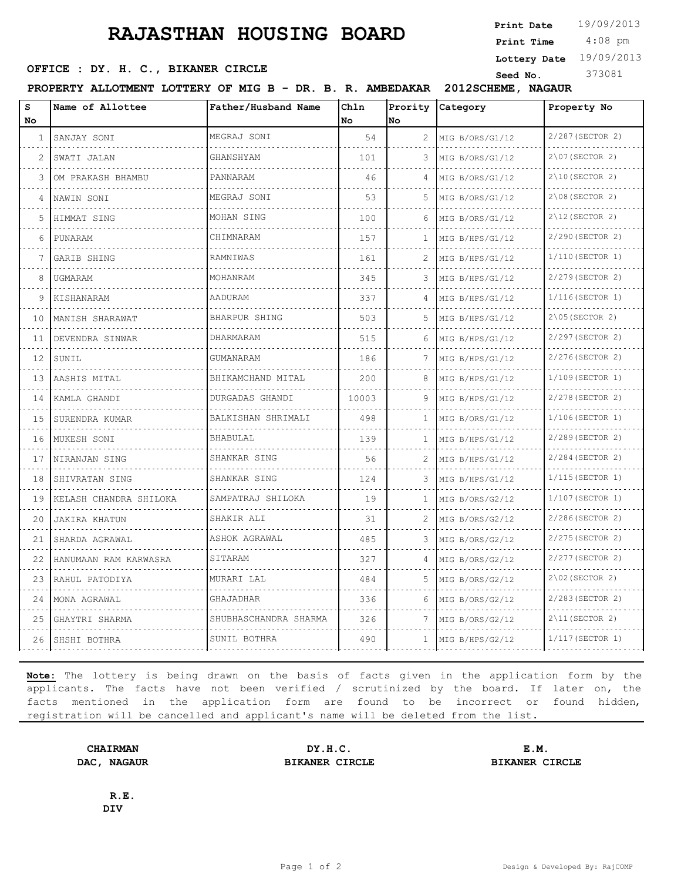## **RAJASTHAN HOUSING BOARD**

**Print Date**  $19/09/2013$ 

 4:08 pm **Print Time**

**Lottery Date** 19/09/2013

**SEED OFFICE : DY. H. C., BIKANER CIRCLE Seed No.** 373081

**PROPERTY ALLOTMENT LOTTERY OF MIG B - DR. B. R. AMBEDAKAR 2012SCHEME, NAGAUR**

| s  | Name of Allottee       | Father/Husband Name    | Ch1n  |    | Prority Category     | Property No          |
|----|------------------------|------------------------|-------|----|----------------------|----------------------|
| No |                        |                        | No    | No |                      |                      |
| 1  | SANJAY SONI            | MEGRAJ SONI            | 54    | 2  | MIG B/ORS/G1/12      | 2/287 (SECTOR 2)     |
| 2  | SWATI JALAN            | GHANSHYAM              | 101   | 3  | MIG B/ORS/G1/12      | $2\107$ (SECTOR 2)   |
| 3  | OM PRAKASH BHAMBU      | PANNARAM               | 46    | 4  | MIG B/ORS/G1/12      | $2\10$ (SECTOR 2)    |
| 4  | NAWIN SONI             | MEGRAJ SONI            | 53    | 5  | MIG B/ORS/G1/12      | $2\,08$ (SECTOR 2)   |
| 5  | HIMMAT SING            | MOHAN SING             | 100   | 6  | MIG B/ORS/G1/12      | $2\12$ (SECTOR 2)    |
| 6  | PUNARAM                | CHIMNARAM              | 157   | 1  | MIG B/HPS/G1/12      | 2/290 (SECTOR 2)     |
|    | GARIB SHING            | RAMNIWAS               | 161   | 2  | MIG B/HPS/G1/12<br>. | 1/110 (SECTOR 1)     |
| 8  | UGMARAM                | MOHANRAM               | 345   | 3  | MIG B/HPS/G1/12      | 2/279 (SECTOR 2)     |
| 9  | KISHANARAM             | AADURAM                | 337   | 4  | MIG B/HPS/G1/12      | $1/116$ (SECTOR 1)   |
| 10 | MANISH SHARAWAT        | BHARPUR SHING          | 503   | 5  | MIG B/HPS/G1/12      | $2\105$ (SECTOR 2)   |
| 11 | DEVENDRA SINWAR        | DHARMARAM              | 515   | 6  | MIG B/HPS/G1/12      | 2/297 (SECTOR 2)     |
| 12 | SUNIL                  | GUMANARAM              | 186   | 7  | MIG B/HPS/G1/12      | 2/276(SECTOR 2)      |
| 13 | AASHIS MITAL           | BHIKAMCHAND MITAL<br>. | 200   | 8  | MIG B/HPS/G1/12      | $1/109$ (SECTOR 1)   |
| 14 | KAMLA GHANDI           | DURGADAS GHANDI        | 10003 | 9  | MIG B/HPS/G1/12      | 2/278 (SECTOR 2)     |
| 15 | SURENDRA KUMAR         | BALKISHAN SHRIMALI     | 498   | 1  | MIG B/ORS/G1/12      | 1/106(SECTOR 1)<br>. |
| 16 | MUKESH SONI            | BHABULAL               | 139   | 1  | MIG B/HPS/G1/12      | 2/289 (SECTOR 2)     |
| 17 | NIRANJAN SING          | SHANKAR SING<br>.      | 56    | 2  | MIG B/HPS/G1/12      | 2/284 (SECTOR 2)     |
| 18 | SHIVRATAN SING         | SHANKAR SING           | 124   | 3  | MIG B/HPS/G1/12      | $1/115$ (SECTOR 1)   |
| 19 | KELASH CHANDRA SHILOKA | SAMPATRAJ SHILOKA      | 19    | 1  | MIG B/ORS/G2/12      | 1/107 (SECTOR 1)     |
| 20 | <b>JAKIRA KHATUN</b>   | SHAKIR ALI             | 31    | 2  | MIG B/ORS/G2/12      | 2/286(SECTOR 2)      |
| 21 | SHARDA AGRAWAL         | ASHOK AGRAWAL          | 485   | 3  | MIG B/ORS/G2/12      | 2/275 (SECTOR 2)     |
| 22 | HANUMAAN RAM KARWASRA  | SITARAM                | 327   | 4  | MIG B/ORS/G2/12      | 2/277 (SECTOR 2)     |
| 23 | RAHUL PATODIYA         | MURARI LAL             | 484   | 5  | MIG B/ORS/G2/12      | $2\102$ (SECTOR 2)   |
| 24 | MONA AGRAWAL           | GHAJADHAR              | 336   | 6  | MIG B/ORS/G2/12      | 2/283 (SECTOR 2)     |
| 25 | GHAYTRI SHARMA         | SHUBHASCHANDRA SHARMA  | 326   | 7  | MIG B/ORS/G2/12      | $2\11$ (SECTOR 2)    |
| 26 | SHSHI BOTHRA           | SUNIL BOTHRA           | 490   | 1  | MIG B/HPS/G2/12      | 1/117 (SECTOR 1)     |
|    |                        |                        |       |    |                      |                      |

**Note:** The lottery is being drawn on the basis of facts given in the application form by the applicants. The facts have not been verified / scrutinized by the board. If later on, the facts mentioned in the application form are found to be incorrect or found hidden, registration will be cancelled and applicant's name will be deleted from the list.

**CHAIRMAN DY.H.C. E.M. DAC, NAGAUR BIKANER CIRCLE BIKANER CIRCLE**

**R.E. DIV**